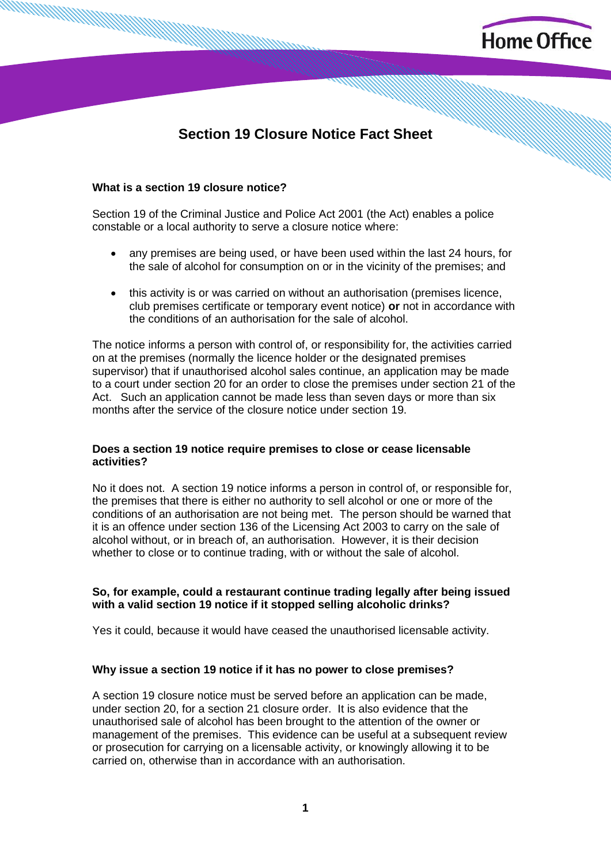

# **Section 19 Closure Notice Fact Sheet**

#### **What is a section 19 closure notice?**

Section 19 of the Criminal Justice and Police Act 2001 (the Act) enables a police constable or a local authority to serve a closure notice where:

- any premises are being used, or have been used within the last 24 hours, for the sale of alcohol for consumption on or in the vicinity of the premises; and
- this activity is or was carried on without an authorisation (premises licence, club premises certificate or temporary event notice) **or** not in accordance with the conditions of an authorisation for the sale of alcohol.

The notice informs a person with control of, or responsibility for, the activities carried on at the premises (normally the licence holder or the designated premises supervisor) that if unauthorised alcohol sales continue, an application may be made to a court under section 20 for an order to close the premises under section 21 of the Act. Such an application cannot be made less than seven days or more than six months after the service of the closure notice under section 19.

#### **Does a section 19 notice require premises to close or cease licensable activities?**

No it does not. A section 19 notice informs a person in control of, or responsible for, the premises that there is either no authority to sell alcohol or one or more of the conditions of an authorisation are not being met. The person should be warned that it is an offence under section 136 of the Licensing Act 2003 to carry on the sale of alcohol without, or in breach of, an authorisation. However, it is their decision whether to close or to continue trading, with or without the sale of alcohol.

## **So, for example, could a restaurant continue trading legally after being issued with a valid section 19 notice if it stopped selling alcoholic drinks?**

Yes it could, because it would have ceased the unauthorised licensable activity.

## **Why issue a section 19 notice if it has no power to close premises?**

A section 19 closure notice must be served before an application can be made, under section 20, for a section 21 closure order. It is also evidence that the unauthorised sale of alcohol has been brought to the attention of the owner or management of the premises. This evidence can be useful at a subsequent review or prosecution for carrying on a licensable activity, or knowingly allowing it to be carried on, otherwise than in accordance with an authorisation.